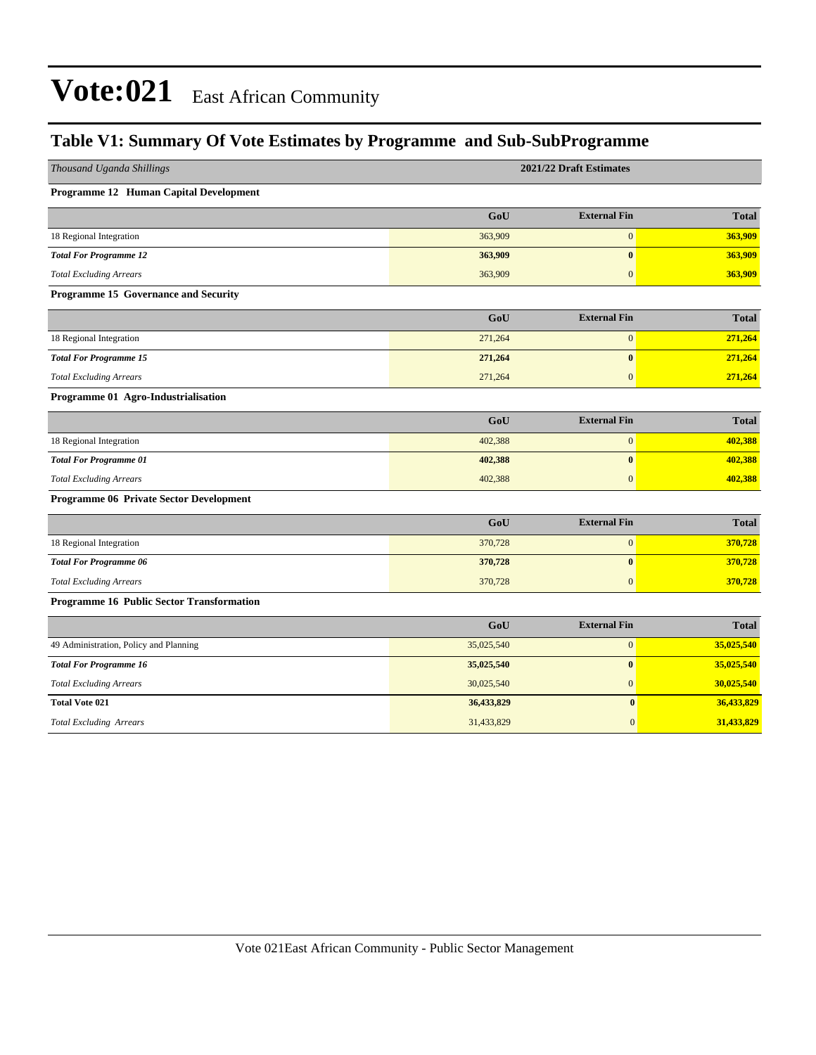### **Table V1: Summary Of Vote Estimates by Programme and Sub-SubProgramme**

| Thousand Uganda Shillings                 |            | 2021/22 Draft Estimates |              |
|-------------------------------------------|------------|-------------------------|--------------|
| Programme 12 Human Capital Development    |            |                         |              |
|                                           | GoU        | <b>External Fin</b>     | <b>Total</b> |
| 18 Regional Integration                   | 363,909    | $\boldsymbol{0}$        | 363,909      |
| <b>Total For Programme 12</b>             | 363,909    | $\bf{0}$                | 363,909      |
| <b>Total Excluding Arrears</b>            | 363,909    | $\mathbf{0}$            | 363,909      |
| Programme 15 Governance and Security      |            |                         |              |
|                                           | GoU        | <b>External Fin</b>     | <b>Total</b> |
| 18 Regional Integration                   | 271,264    | $\overline{0}$          | 271,264      |
| <b>Total For Programme 15</b>             | 271,264    | $\bf{0}$                | 271,264      |
| <b>Total Excluding Arrears</b>            | 271,264    | $\mathbf{0}$            | 271,264      |
| Programme 01 Agro-Industrialisation       |            |                         |              |
|                                           | GoU        | <b>External Fin</b>     | <b>Total</b> |
| 18 Regional Integration                   | 402,388    | $\boldsymbol{0}$        | 402,388      |
| <b>Total For Programme 01</b>             | 402,388    | $\bf{0}$                | 402,388      |
| <b>Total Excluding Arrears</b>            | 402,388    | $\mathbf{0}$            | 402,388      |
| Programme 06 Private Sector Development   |            |                         |              |
|                                           | GoU        | <b>External Fin</b>     | <b>Total</b> |
| 18 Regional Integration                   | 370,728    | $\overline{0}$          | 370,728      |
| <b>Total For Programme 06</b>             | 370,728    | $\bf{0}$                | 370,728      |
| <b>Total Excluding Arrears</b>            | 370,728    | $\mathbf{0}$            | 370,728      |
| Programme 16 Public Sector Transformation |            |                         |              |
|                                           | GoU        | <b>External Fin</b>     | <b>Total</b> |
| 49 Administration, Policy and Planning    | 35,025,540 | $\boldsymbol{0}$        | 35,025,540   |
| <b>Total For Programme 16</b>             | 35,025,540 | $\bf{0}$                | 35,025,540   |
| <b>Total Excluding Arrears</b>            | 30,025,540 | $\overline{0}$          | 30,025,540   |
| <b>Total Vote 021</b>                     | 36,433,829 | $\bf{0}$                | 36,433,829   |
| <b>Total Excluding Arrears</b>            | 31,433,829 | $\overline{0}$          | 31,433,829   |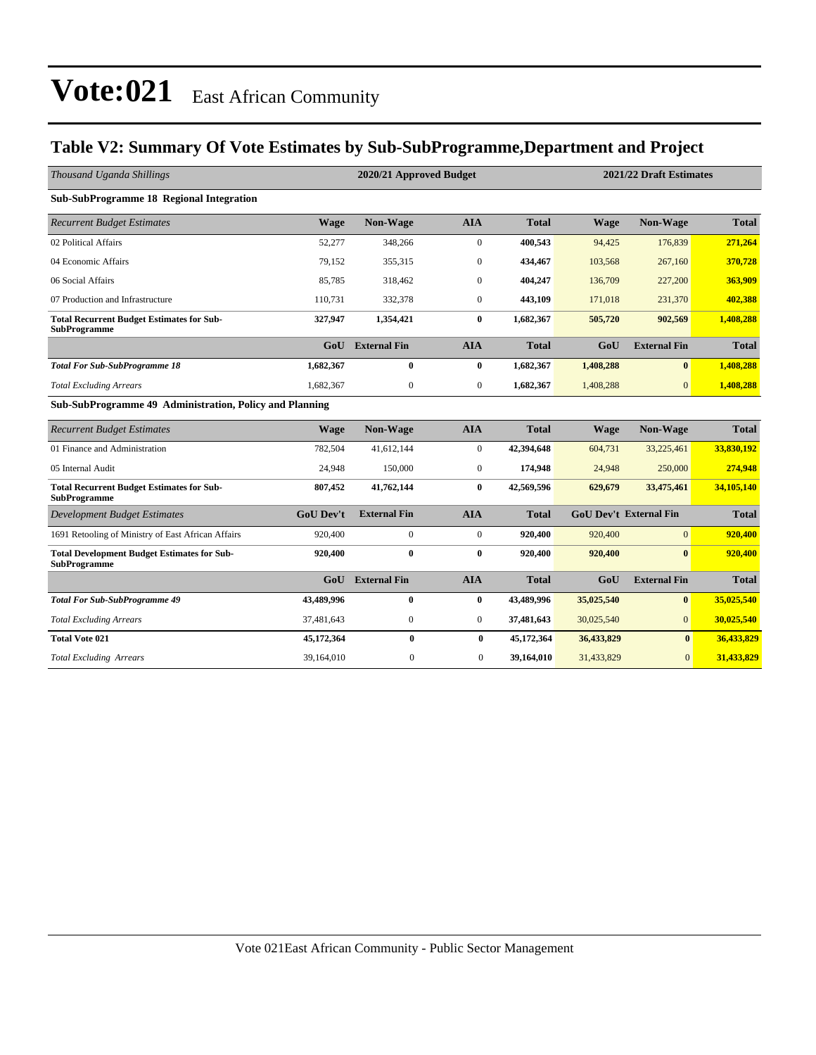### **Table V2: Summary Of Vote Estimates by Sub-SubProgramme,Department and Project**

| Thousand Uganda Shillings                                                 |                  | 2020/21 Approved Budget |                  |              |             | 2021/22 Draft Estimates       |              |  |  |
|---------------------------------------------------------------------------|------------------|-------------------------|------------------|--------------|-------------|-------------------------------|--------------|--|--|
| <b>Sub-SubProgramme 18 Regional Integration</b>                           |                  |                         |                  |              |             |                               |              |  |  |
| <b>Recurrent Budget Estimates</b>                                         | <b>Wage</b>      | Non-Wage                | <b>AIA</b>       | <b>Total</b> | <b>Wage</b> | Non-Wage                      | <b>Total</b> |  |  |
| 02 Political Affairs                                                      | 52,277           | 348,266                 | $\mathbf{0}$     | 400,543      | 94,425      | 176,839                       | 271,264      |  |  |
| 04 Economic Affairs                                                       | 79,152           | 355,315                 | $\boldsymbol{0}$ | 434,467      | 103,568     | 267,160                       | 370,728      |  |  |
| 06 Social Affairs                                                         | 85,785           | 318,462                 | $\mathbf{0}$     | 404,247      | 136,709     | 227,200                       | 363,909      |  |  |
| 07 Production and Infrastructure                                          | 110,731          | 332,378                 | $\mathbf{0}$     | 443,109      | 171,018     | 231,370                       | 402,388      |  |  |
| <b>Total Recurrent Budget Estimates for Sub-</b><br><b>SubProgramme</b>   | 327,947          | 1,354,421               | $\bf{0}$         | 1,682,367    | 505,720     | 902,569                       | 1,408,288    |  |  |
|                                                                           | GoU              | <b>External Fin</b>     | <b>AIA</b>       | <b>Total</b> | GoU         | <b>External Fin</b>           | <b>Total</b> |  |  |
| <b>Total For Sub-SubProgramme 18</b>                                      | 1,682,367        | 0                       | $\bf{0}$         | 1,682,367    | 1,408,288   | $\bf{0}$                      | 1,408,288    |  |  |
| <b>Total Excluding Arrears</b>                                            | 1,682,367        | $\mathbf{0}$            | $\mathbf{0}$     | 1,682,367    | 1,408,288   | $\overline{0}$                | 1,408,288    |  |  |
| Sub-SubProgramme 49 Administration, Policy and Planning                   |                  |                         |                  |              |             |                               |              |  |  |
| <b>Recurrent Budget Estimates</b>                                         | <b>Wage</b>      | Non-Wage                | <b>AIA</b>       | <b>Total</b> | <b>Wage</b> | Non-Wage                      | <b>Total</b> |  |  |
| 01 Finance and Administration                                             | 782,504          | 41,612,144              | $\boldsymbol{0}$ | 42,394,648   | 604,731     | 33,225,461                    | 33,830,192   |  |  |
| 05 Internal Audit                                                         | 24,948           | 150,000                 | $\mathbf{0}$     | 174,948      | 24,948      | 250,000                       | 274,948      |  |  |
| <b>Total Recurrent Budget Estimates for Sub-</b><br>SubProgramme          | 807,452          | 41,762,144              | $\bf{0}$         | 42,569,596   | 629,679     | 33,475,461                    | 34,105,140   |  |  |
| <b>Development Budget Estimates</b>                                       | <b>GoU</b> Dev't | <b>External Fin</b>     | <b>AIA</b>       | <b>Total</b> |             | <b>GoU Dev't External Fin</b> | <b>Total</b> |  |  |
| 1691 Retooling of Ministry of East African Affairs                        | 920,400          | $\boldsymbol{0}$        | $\mathbf{0}$     | 920,400      | 920,400     | $\overline{0}$                | 920,400      |  |  |
| <b>Total Development Budget Estimates for Sub-</b><br><b>SubProgramme</b> | 920,400          | 0                       | $\bf{0}$         | 920,400      | 920,400     | $\mathbf{0}$                  | 920,400      |  |  |
|                                                                           | GoU              | <b>External Fin</b>     | <b>AIA</b>       | <b>Total</b> | GoU         | <b>External Fin</b>           | <b>Total</b> |  |  |
| <b>Total For Sub-SubProgramme 49</b>                                      | 43,489,996       | 0                       | $\bf{0}$         | 43,489,996   | 35,025,540  | $\mathbf{0}$                  | 35,025,540   |  |  |
| <b>Total Excluding Arrears</b>                                            | 37,481,643       | $\boldsymbol{0}$        | $\boldsymbol{0}$ | 37,481,643   | 30,025,540  | $\overline{0}$                | 30,025,540   |  |  |
| <b>Total Vote 021</b>                                                     | 45,172,364       | $\bf{0}$                | $\bf{0}$         | 45,172,364   | 36,433,829  | $\bf{0}$                      | 36,433,829   |  |  |
| <b>Total Excluding Arrears</b>                                            | 39,164,010       | $\mathbf{0}$            | $\overline{0}$   | 39,164,010   | 31,433,829  | $\overline{0}$                | 31,433,829   |  |  |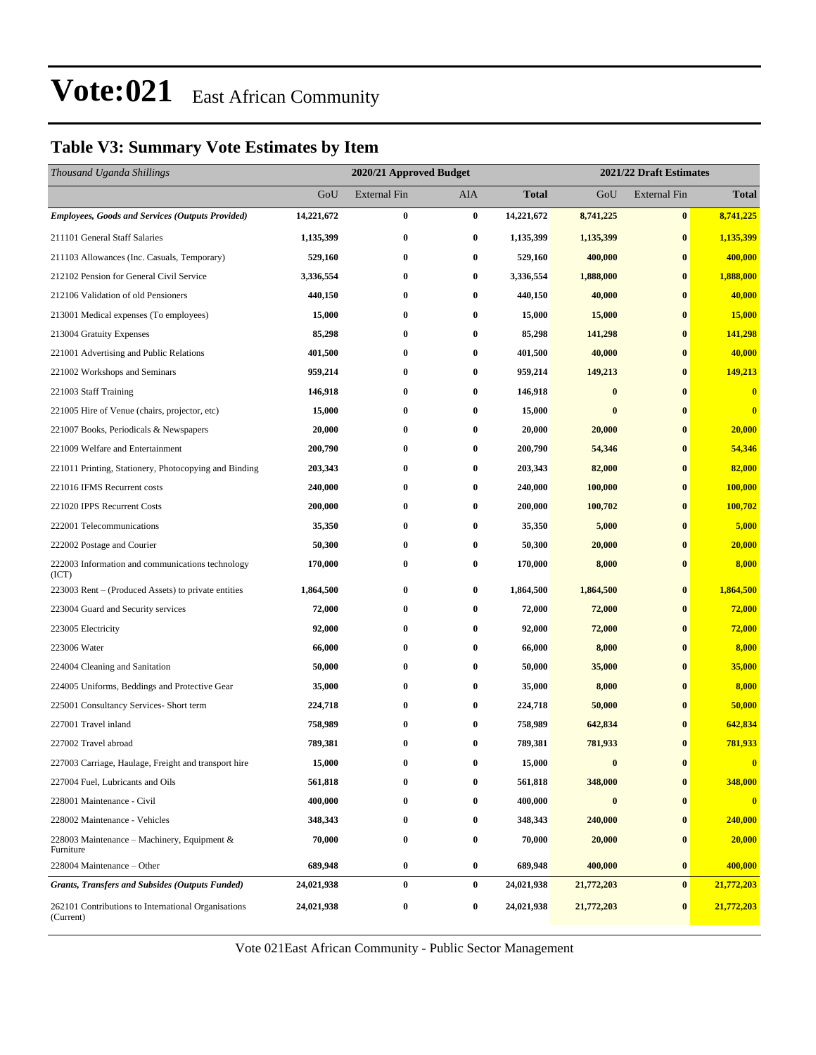### **Table V3: Summary Vote Estimates by Item**

| Thousand Uganda Shillings                                        |            | 2020/21 Approved Budget |                  |              | 2021/22 Draft Estimates |                     |              |  |
|------------------------------------------------------------------|------------|-------------------------|------------------|--------------|-------------------------|---------------------|--------------|--|
|                                                                  | GoU        | <b>External Fin</b>     | AIA              | <b>Total</b> | GoU                     | <b>External Fin</b> | <b>Total</b> |  |
| <b>Employees, Goods and Services (Outputs Provided)</b>          | 14,221,672 | $\bf{0}$                | $\bf{0}$         | 14,221,672   | 8,741,225               | $\bf{0}$            | 8,741,225    |  |
| 211101 General Staff Salaries                                    | 1,135,399  | $\bf{0}$                | $\bf{0}$         | 1,135,399    | 1,135,399               | $\bf{0}$            | 1,135,399    |  |
| 211103 Allowances (Inc. Casuals, Temporary)                      | 529,160    | $\bf{0}$                | $\bf{0}$         | 529,160      | 400,000                 | $\bf{0}$            | 400,000      |  |
| 212102 Pension for General Civil Service                         | 3,336,554  | $\bf{0}$                | $\bf{0}$         | 3,336,554    | 1,888,000               | $\bf{0}$            | 1,888,000    |  |
| 212106 Validation of old Pensioners                              | 440,150    | $\bf{0}$                | $\bf{0}$         | 440,150      | 40,000                  | $\bf{0}$            | 40,000       |  |
| 213001 Medical expenses (To employees)                           | 15,000     | $\bf{0}$                | $\bf{0}$         | 15,000       | 15,000                  | $\bf{0}$            | 15,000       |  |
| 213004 Gratuity Expenses                                         | 85,298     | $\bf{0}$                | $\bf{0}$         | 85,298       | 141,298                 | $\bf{0}$            | 141,298      |  |
| 221001 Advertising and Public Relations                          | 401,500    | $\bf{0}$                | $\boldsymbol{0}$ | 401,500      | 40,000                  | $\bf{0}$            | 40,000       |  |
| 221002 Workshops and Seminars                                    | 959,214    | $\bf{0}$                | $\bf{0}$         | 959,214      | 149,213                 | $\bf{0}$            | 149,213      |  |
| 221003 Staff Training                                            | 146,918    | $\bf{0}$                | $\bf{0}$         | 146,918      | $\bf{0}$                | $\bf{0}$            | $\bf{0}$     |  |
| 221005 Hire of Venue (chairs, projector, etc)                    | 15,000     | $\bf{0}$                | $\bf{0}$         | 15,000       | $\bf{0}$                | $\bf{0}$            | $\bf{0}$     |  |
| 221007 Books, Periodicals & Newspapers                           | 20,000     | $\bf{0}$                | $\bf{0}$         | 20,000       | 20,000                  | $\bf{0}$            | 20,000       |  |
| 221009 Welfare and Entertainment                                 | 200,790    | $\bf{0}$                | $\boldsymbol{0}$ | 200,790      | 54,346                  | $\bf{0}$            | 54,346       |  |
| 221011 Printing, Stationery, Photocopying and Binding            | 203,343    | $\bf{0}$                | $\bf{0}$         | 203,343      | 82,000                  | $\bf{0}$            | 82,000       |  |
| 221016 IFMS Recurrent costs                                      | 240,000    | $\bf{0}$                | $\bf{0}$         | 240,000      | 100,000                 | $\bf{0}$            | 100,000      |  |
| 221020 IPPS Recurrent Costs                                      | 200,000    | $\bf{0}$                | $\bf{0}$         | 200,000      | 100,702                 | $\bf{0}$            | 100,702      |  |
| 222001 Telecommunications                                        | 35,350     | $\bf{0}$                | $\bf{0}$         | 35,350       | 5,000                   | $\bf{0}$            | 5,000        |  |
| 222002 Postage and Courier                                       | 50,300     | $\bf{0}$                | $\bf{0}$         | 50,300       | 20,000                  | $\bf{0}$            | 20,000       |  |
| 222003 Information and communications technology<br>(ICT)        | 170,000    | $\bf{0}$                | $\bf{0}$         | 170,000      | 8,000                   | $\bf{0}$            | 8,000        |  |
| 223003 Rent - (Produced Assets) to private entities              | 1,864,500  | $\bf{0}$                | $\bf{0}$         | 1,864,500    | 1,864,500               | $\bf{0}$            | 1,864,500    |  |
| 223004 Guard and Security services                               | 72,000     | $\bf{0}$                | $\bf{0}$         | 72,000       | 72,000                  | $\bf{0}$            | 72,000       |  |
| 223005 Electricity                                               | 92,000     | $\bf{0}$                | $\bf{0}$         | 92,000       | 72,000                  | $\bf{0}$            | 72,000       |  |
| 223006 Water                                                     | 66,000     | $\bf{0}$                | $\bf{0}$         | 66,000       | 8,000                   | $\bf{0}$            | 8,000        |  |
| 224004 Cleaning and Sanitation                                   | 50,000     | $\bf{0}$                | $\bf{0}$         | 50,000       | 35,000                  | $\bf{0}$            | 35,000       |  |
| 224005 Uniforms, Beddings and Protective Gear                    | 35,000     | $\bf{0}$                | $\bf{0}$         | 35,000       | 8,000                   | $\bf{0}$            | 8,000        |  |
| 225001 Consultancy Services- Short term                          | 224,718    | $\bf{0}$                | 0                | 224,718      | 50,000                  | $\bf{0}$            | 50,000       |  |
| 227001 Travel inland                                             | 758,989    | $\bf{0}$                | 0                | 758,989      | 642,834                 | $\bf{0}$            | 642,834      |  |
| 227002 Travel abroad                                             | 789,381    | $\bf{0}$                | 0                | 789,381      | 781,933                 | $\bf{0}$            | 781,933      |  |
| 227003 Carriage, Haulage, Freight and transport hire             | 15,000     | 0                       | 0                | 15,000       | $\bf{0}$                | $\bf{0}$            | $\bf{0}$     |  |
| 227004 Fuel, Lubricants and Oils                                 | 561,818    | 0                       | 0                | 561,818      | 348,000                 | $\bf{0}$            | 348,000      |  |
| 228001 Maintenance - Civil                                       | 400,000    | $\bf{0}$                | 0                | 400,000      | $\bf{0}$                | $\bf{0}$            | $\bf{0}$     |  |
| 228002 Maintenance - Vehicles                                    | 348,343    | $\bf{0}$                | 0                | 348,343      | 240,000                 | $\bf{0}$            | 240,000      |  |
| 228003 Maintenance – Machinery, Equipment $\&$<br>Furniture      | 70,000     | $\bf{0}$                | $\boldsymbol{0}$ | 70,000       | 20,000                  | $\bf{0}$            | 20,000       |  |
| 228004 Maintenance - Other                                       | 689,948    | $\bf{0}$                | $\bf{0}$         | 689,948      | 400,000                 | $\bf{0}$            | 400,000      |  |
| <b>Grants, Transfers and Subsides (Outputs Funded)</b>           | 24,021,938 | $\bf{0}$                | $\bf{0}$         | 24,021,938   | 21,772,203              | $\bf{0}$            | 21,772,203   |  |
| 262101 Contributions to International Organisations<br>(Current) | 24,021,938 | $\bf{0}$                | 0                | 24,021,938   | 21,772,203              | $\bf{0}$            | 21,772,203   |  |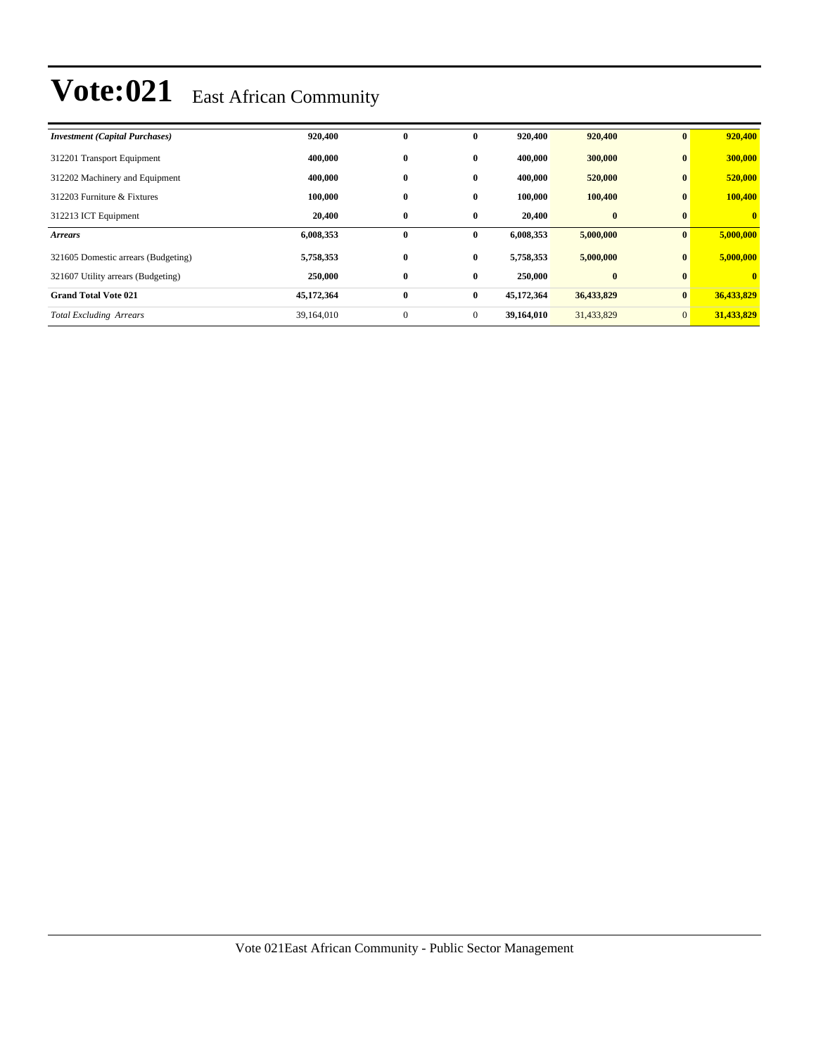| <b>Investment</b> (Capital Purchases) | 920,400    | 0            | $\bf{0}$     | 920,400    | 920,400    | $\bf{0}$       | 920,400      |
|---------------------------------------|------------|--------------|--------------|------------|------------|----------------|--------------|
| 312201 Transport Equipment            | 400,000    | $\bf{0}$     | $\bf{0}$     | 400,000    | 300,000    | $\bf{0}$       | 300,000      |
| 312202 Machinery and Equipment        | 400,000    | $\bf{0}$     | $\bf{0}$     | 400,000    | 520,000    | $\bf{0}$       | 520,000      |
| 312203 Furniture & Fixtures           | 100,000    | $\bf{0}$     | $\bf{0}$     | 100,000    | 100,400    | $\bf{0}$       | 100,400      |
| 312213 ICT Equipment                  | 20,400     | $\bf{0}$     | $\bf{0}$     | 20,400     | $\bf{0}$   | $\bf{0}$       | $\mathbf{0}$ |
| <b>Arrears</b>                        | 6,008,353  | $\bf{0}$     | 0            | 6,008,353  | 5,000,000  | $\bf{0}$       | 5,000,000    |
| 321605 Domestic arrears (Budgeting)   | 5,758,353  | $\bf{0}$     | $\bf{0}$     | 5,758,353  | 5,000,000  | $\bf{0}$       | 5,000,000    |
| 321607 Utility arrears (Budgeting)    | 250,000    | $\bf{0}$     | $\bf{0}$     | 250,000    | $\bf{0}$   | $\bf{0}$       | $\mathbf{0}$ |
| <b>Grand Total Vote 021</b>           | 45,172,364 | $\bf{0}$     | $\bf{0}$     | 45,172,364 | 36,433,829 | $\bf{0}$       | 36,433,829   |
| <b>Total Excluding Arrears</b>        | 39,164,010 | $\mathbf{0}$ | $\mathbf{0}$ | 39,164,010 | 31,433,829 | $\overline{0}$ | 31,433,829   |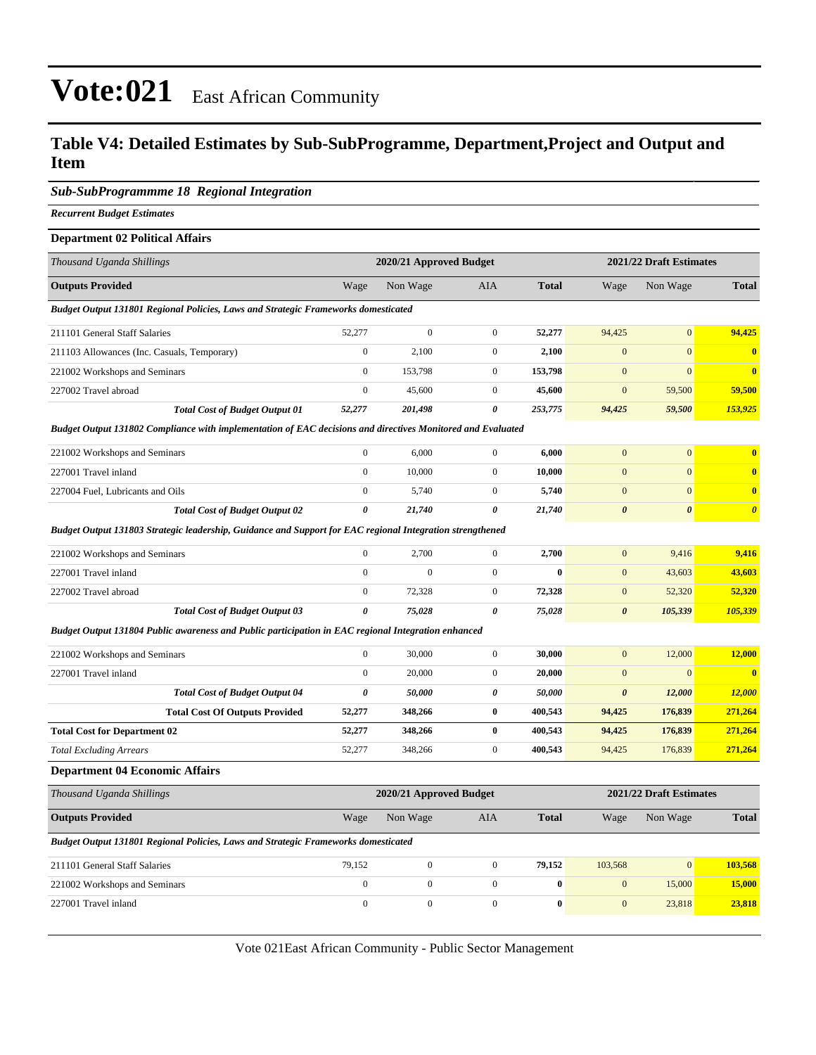### **Table V4: Detailed Estimates by Sub-SubProgramme, Department,Project and Output and Item**

#### *Sub-SubProgrammme 18 Regional Integration*

*Recurrent Budget Estimates*

#### **Department 02 Political Affairs**

| Thousand Uganda Shillings                                                                                   | 2020/21 Approved Budget |                         |                  |              | 2021/22 Draft Estimates |                         |                         |
|-------------------------------------------------------------------------------------------------------------|-------------------------|-------------------------|------------------|--------------|-------------------------|-------------------------|-------------------------|
| <b>Outputs Provided</b>                                                                                     | Wage                    | Non Wage                | AIA              | <b>Total</b> | Wage                    | Non Wage                | <b>Total</b>            |
| Budget Output 131801 Regional Policies, Laws and Strategic Frameworks domesticated                          |                         |                         |                  |              |                         |                         |                         |
| 211101 General Staff Salaries                                                                               | 52,277                  | $\mathbf{0}$            | $\overline{0}$   | 52,277       | 94,425                  | $\mathbf{0}$            | 94,425                  |
| 211103 Allowances (Inc. Casuals, Temporary)                                                                 | $\boldsymbol{0}$        | 2,100                   | $\overline{0}$   | 2,100        | $\mathbf{0}$            | $\mathbf{0}$            | $\bf{0}$                |
| 221002 Workshops and Seminars                                                                               | $\boldsymbol{0}$        | 153,798                 | $\overline{0}$   | 153,798      | $\mathbf{0}$            | $\overline{0}$          | $\overline{\mathbf{0}}$ |
| 227002 Travel abroad                                                                                        | $\mathbf{0}$            | 45,600                  | $\overline{0}$   | 45,600       | $\mathbf{0}$            | 59,500                  | 59,500                  |
| <b>Total Cost of Budget Output 01</b>                                                                       | 52,277                  | 201,498                 | 0                | 253,775      | 94,425                  | 59,500                  | 153,925                 |
| Budget Output 131802 Compliance with implementation of EAC decisions and directives Monitored and Evaluated |                         |                         |                  |              |                         |                         |                         |
| 221002 Workshops and Seminars                                                                               | $\boldsymbol{0}$        | 6,000                   | $\mathbf{0}$     | 6,000        | $\mathbf{0}$            | $\mathbf{0}$            | $\bf{0}$                |
| 227001 Travel inland                                                                                        | $\boldsymbol{0}$        | 10,000                  | $\overline{0}$   | 10,000       | $\mathbf{0}$            | $\overline{0}$          | $\bf{0}$                |
| 227004 Fuel, Lubricants and Oils                                                                            | $\boldsymbol{0}$        | 5,740                   | $\overline{0}$   | 5,740        | $\mathbf{0}$            | $\overline{0}$          | $\bf{0}$                |
| <b>Total Cost of Budget Output 02</b>                                                                       | $\boldsymbol{\theta}$   | 21,740                  | 0                | 21,740       | $\boldsymbol{\theta}$   | $\boldsymbol{\theta}$   | $\boldsymbol{\theta}$   |
| Budget Output 131803 Strategic leadership, Guidance and Support for EAC regional Integration strengthened   |                         |                         |                  |              |                         |                         |                         |
| 221002 Workshops and Seminars                                                                               | $\boldsymbol{0}$        | 2,700                   | $\boldsymbol{0}$ | 2,700        | $\mathbf{0}$            | 9,416                   | 9,416                   |
| 227001 Travel inland                                                                                        | $\boldsymbol{0}$        | $\boldsymbol{0}$        | $\overline{0}$   | $\bf{0}$     | $\boldsymbol{0}$        | 43,603                  | 43,603                  |
| 227002 Travel abroad                                                                                        | $\boldsymbol{0}$        | 72,328                  | $\boldsymbol{0}$ | 72,328       | $\boldsymbol{0}$        | 52,320                  | 52,320                  |
| <b>Total Cost of Budget Output 03</b>                                                                       | $\pmb{\theta}$          | 75,028                  | 0                | 75,028       | $\boldsymbol{\theta}$   | 105,339                 | 105,339                 |
| Budget Output 131804 Public awareness and Public participation in EAC regional Integration enhanced         |                         |                         |                  |              |                         |                         |                         |
| 221002 Workshops and Seminars                                                                               | $\mathbf{0}$            | 30,000                  | $\boldsymbol{0}$ | 30,000       | $\mathbf{0}$            | 12,000                  | 12,000                  |
| 227001 Travel inland                                                                                        | $\mathbf{0}$            | 20,000                  | $\boldsymbol{0}$ | 20,000       | $\boldsymbol{0}$        | $\overline{0}$          | $\mathbf{0}$            |
| <b>Total Cost of Budget Output 04</b>                                                                       | $\boldsymbol{\theta}$   | 50,000                  | 0                | 50,000       | $\boldsymbol{\theta}$   | 12,000                  | 12,000                  |
| <b>Total Cost Of Outputs Provided</b>                                                                       | 52,277                  | 348,266                 | $\bf{0}$         | 400,543      | 94,425                  | 176,839                 | 271,264                 |
| <b>Total Cost for Department 02</b>                                                                         | 52,277                  | 348,266                 | $\bf{0}$         | 400,543      | 94,425                  | 176,839                 | 271,264                 |
| <b>Total Excluding Arrears</b>                                                                              | 52,277                  | 348,266                 | $\boldsymbol{0}$ | 400,543      | 94,425                  | 176,839                 | 271,264                 |
| <b>Department 04 Economic Affairs</b>                                                                       |                         |                         |                  |              |                         |                         |                         |
| Thousand Uganda Shillings                                                                                   |                         | 2020/21 Approved Budget |                  |              |                         | 2021/22 Draft Estimates |                         |
| <b>Outputs Provided</b>                                                                                     | Wage                    | Non Wage                | AIA              | <b>Total</b> | Wage                    | Non Wage                | <b>Total</b>            |
| Budget Output 131801 Regional Policies, Laws and Strategic Frameworks domesticated                          |                         |                         |                  |              |                         |                         |                         |
| 211101 General Staff Salaries                                                                               | 79,152                  | $\overline{0}$          | $\mathbf{0}$     | 79,152       | 103,568                 | $\mathbf{0}$            | 103,568                 |
| 221002 Workshops and Seminars                                                                               | $\boldsymbol{0}$        | $\mathbf{0}$            | $\mathbf{0}$     | $\bf{0}$     | $\mathbf{0}$            | 15,000                  | 15,000                  |
| 227001 Travel inland                                                                                        | $\boldsymbol{0}$        | $\Omega$                | $\Omega$         | $\bf{0}$     | $\mathbf{0}$            | 23,818                  | 23,818                  |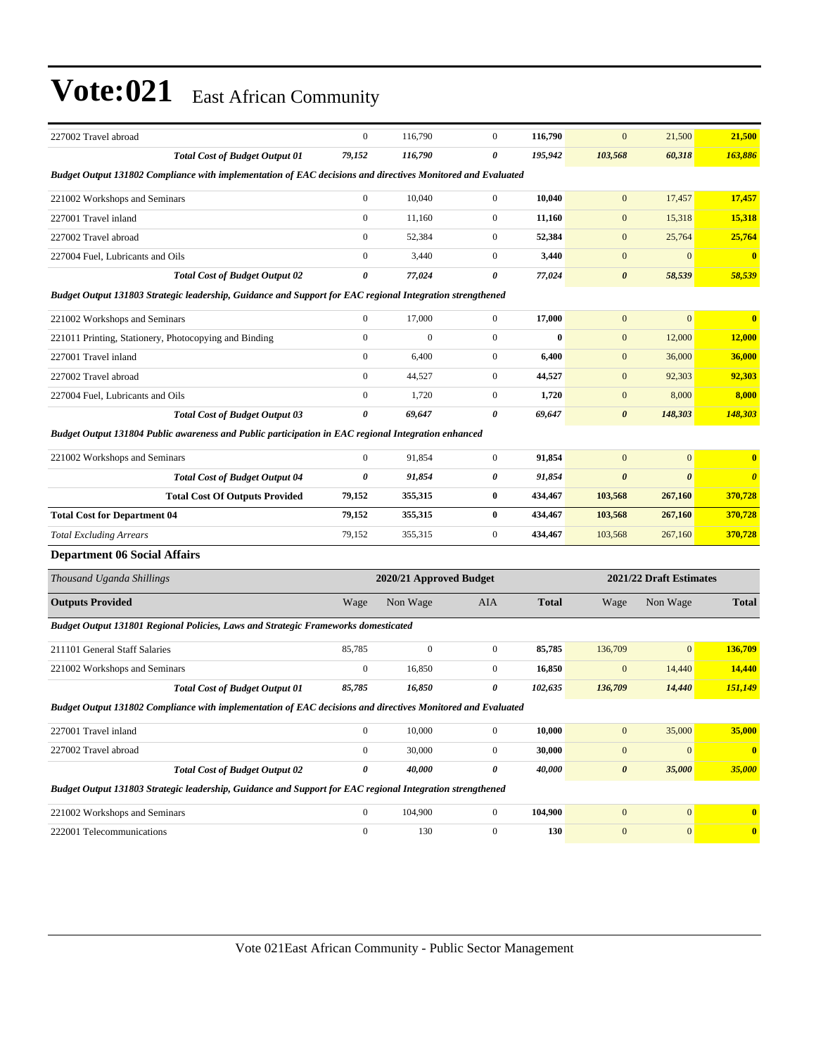| 227002 Travel abroad                                                                                        | $\boldsymbol{0}$      | 116,790                 | $\mathbf{0}$     | 116,790      | $\mathbf{0}$          | 21,500                  | 21,500                  |
|-------------------------------------------------------------------------------------------------------------|-----------------------|-------------------------|------------------|--------------|-----------------------|-------------------------|-------------------------|
| <b>Total Cost of Budget Output 01</b>                                                                       | 79,152                | 116,790                 | 0                | 195,942      | 103,568               | 60,318                  | 163,886                 |
| Budget Output 131802 Compliance with implementation of EAC decisions and directives Monitored and Evaluated |                       |                         |                  |              |                       |                         |                         |
| 221002 Workshops and Seminars                                                                               | $\mathbf{0}$          | 10,040                  | $\overline{0}$   | 10,040       | $\mathbf{0}$          | 17,457                  | 17,457                  |
| 227001 Travel inland                                                                                        | $\boldsymbol{0}$      | 11,160                  | $\overline{0}$   | 11,160       | $\mathbf{0}$          | 15,318                  | 15,318                  |
| 227002 Travel abroad                                                                                        | $\boldsymbol{0}$      | 52,384                  | $\mathbf{0}$     | 52,384       | $\mathbf{0}$          | 25,764                  | 25,764                  |
| 227004 Fuel, Lubricants and Oils                                                                            | $\boldsymbol{0}$      | 3,440                   | $\mathbf{0}$     | 3,440        | $\mathbf{0}$          | $\mathbf{0}$            | $\overline{\mathbf{0}}$ |
| <b>Total Cost of Budget Output 02</b>                                                                       | $\boldsymbol{\theta}$ | 77,024                  | 0                | 77,024       | $\boldsymbol{\theta}$ | 58,539                  | 58,539                  |
| Budget Output 131803 Strategic leadership, Guidance and Support for EAC regional Integration strengthened   |                       |                         |                  |              |                       |                         |                         |
| 221002 Workshops and Seminars                                                                               | $\boldsymbol{0}$      | 17,000                  | $\overline{0}$   | 17,000       | $\mathbf{0}$          | $\boldsymbol{0}$        | $\overline{\mathbf{0}}$ |
| 221011 Printing, Stationery, Photocopying and Binding                                                       | $\mathbf{0}$          | $\mathbf{0}$            | $\overline{0}$   | $\bf{0}$     | $\mathbf{0}$          | 12,000                  | 12,000                  |
| 227001 Travel inland                                                                                        | $\mathbf{0}$          | 6,400                   | $\overline{0}$   | 6,400        | $\mathbf{0}$          | 36,000                  | 36,000                  |
| 227002 Travel abroad                                                                                        | $\boldsymbol{0}$      | 44,527                  | $\mathbf{0}$     | 44,527       | $\mathbf{0}$          | 92,303                  | 92,303                  |
| 227004 Fuel, Lubricants and Oils                                                                            | $\boldsymbol{0}$      | 1,720                   | $\mathbf{0}$     | 1,720        | $\mathbf{0}$          | 8,000                   | 8,000                   |
| <b>Total Cost of Budget Output 03</b>                                                                       | $\pmb{\theta}$        | 69,647                  | 0                | 69,647       | $\boldsymbol{\theta}$ | 148,303                 | 148,303                 |
| Budget Output 131804 Public awareness and Public participation in EAC regional Integration enhanced         |                       |                         |                  |              |                       |                         |                         |
| 221002 Workshops and Seminars                                                                               | $\boldsymbol{0}$      | 91,854                  | $\overline{0}$   | 91,854       | $\mathbf{0}$          | $\overline{0}$          | $\bf{0}$                |
| <b>Total Cost of Budget Output 04</b>                                                                       | $\boldsymbol{\theta}$ | 91,854                  | 0                | 91,854       | $\boldsymbol{\theta}$ | $\boldsymbol{\theta}$   | $\boldsymbol{\theta}$   |
| <b>Total Cost Of Outputs Provided</b>                                                                       | 79,152                | 355,315                 | $\bf{0}$         | 434,467      | 103,568               | 267,160                 | 370,728                 |
| <b>Total Cost for Department 04</b>                                                                         | 79,152                | 355,315                 | $\bf{0}$         | 434,467      | 103,568               | 267,160                 | 370,728                 |
| <b>Total Excluding Arrears</b>                                                                              | 79,152                | 355,315                 | $\mathbf{0}$     | 434,467      | 103,568               | 267,160                 | 370,728                 |
| <b>Department 06 Social Affairs</b>                                                                         |                       |                         |                  |              |                       |                         |                         |
| Thousand Uganda Shillings                                                                                   |                       | 2020/21 Approved Budget |                  |              |                       | 2021/22 Draft Estimates |                         |
| <b>Outputs Provided</b>                                                                                     | Wage                  | Non Wage                | <b>AIA</b>       | <b>Total</b> | Wage                  | Non Wage                | <b>Total</b>            |
| <b>Budget Output 131801 Regional Policies, Laws and Strategic Frameworks domesticated</b>                   |                       |                         |                  |              |                       |                         |                         |
| 211101 General Staff Salaries                                                                               | 85,785                | $\boldsymbol{0}$        | $\mathbf{0}$     | 85,785       | 136,709               | $\mathbf{0}$            | 136,709                 |
| 221002 Workshops and Seminars                                                                               | $\boldsymbol{0}$      | 16,850                  | $\overline{0}$   | 16,850       | $\mathbf{0}$          | 14,440                  | 14,440                  |
| <b>Total Cost of Budget Output 01</b>                                                                       | 85,785                | 16,850                  | 0                | 102,635      | 136,709               | 14,440                  | 151,149                 |
| Budget Output 131802 Compliance with implementation of EAC decisions and directives Monitored and Evaluated |                       |                         |                  |              |                       |                         |                         |
| 227001 Travel inland                                                                                        | $\mathbf{0}$          | 10,000                  | $\boldsymbol{0}$ | 10,000       | $\mathbf{0}$          | 35,000                  | 35,000                  |
| 227002 Travel abroad                                                                                        | $\boldsymbol{0}$      | 30,000                  | $\mathbf{0}$     | 30,000       | $\mathbf{0}$          | $\mathbf{0}$            | $\mathbf{0}$            |
| <b>Total Cost of Budget Output 02</b>                                                                       | $\boldsymbol{\theta}$ | 40,000                  | 0                | 40,000       | $\boldsymbol{\theta}$ | 35,000                  | 35,000                  |
| Budget Output 131803 Strategic leadership, Guidance and Support for EAC regional Integration strengthened   |                       |                         |                  |              |                       |                         |                         |
| 221002 Workshops and Seminars                                                                               | $\boldsymbol{0}$      | 104,900                 | $\boldsymbol{0}$ | 104,900      | $\boldsymbol{0}$      | 0                       | $\mathbf{0}$            |
| 222001 Telecommunications                                                                                   | $\mathbf{0}$          | 130                     | $\boldsymbol{0}$ | 130          | $\boldsymbol{0}$      | $\mathbf{0}$            | $\overline{\mathbf{0}}$ |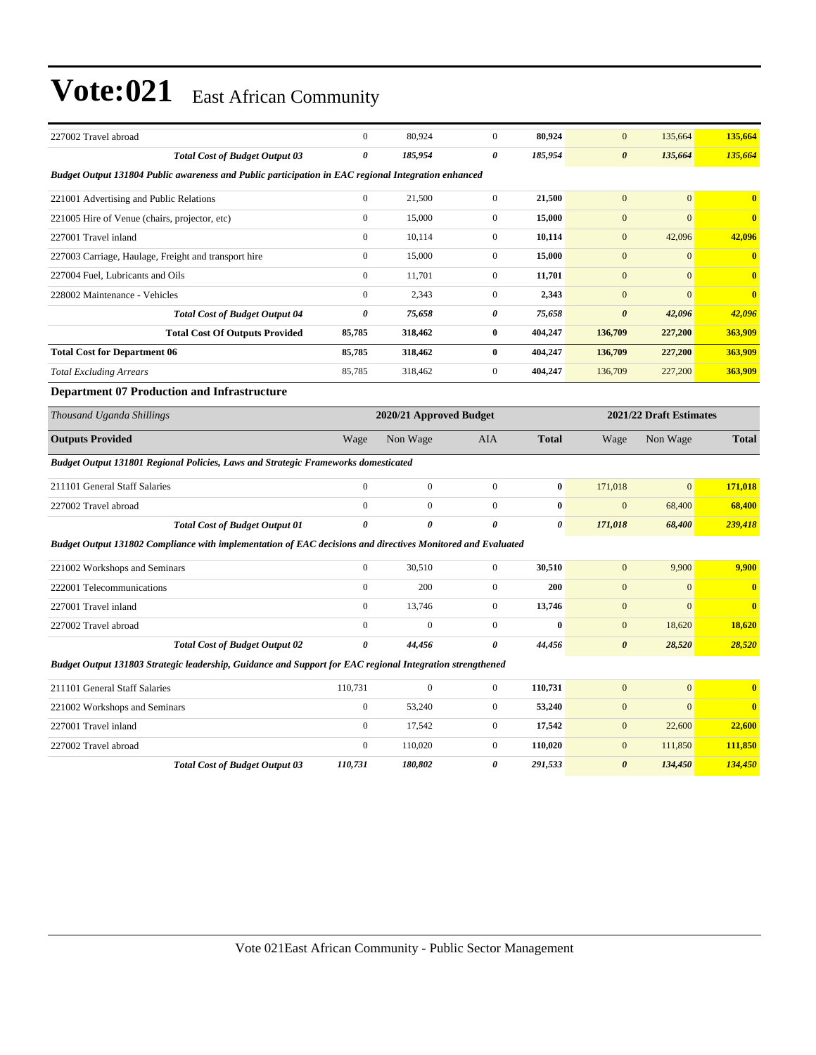| 227002 Travel abroad                                                                                        | $\mathbf{0}$                                       | 80,924         | $\mathbf{0}$     | 80,924         | $\mathbf{0}$          | 135,664          | 135,664                 |
|-------------------------------------------------------------------------------------------------------------|----------------------------------------------------|----------------|------------------|----------------|-----------------------|------------------|-------------------------|
| <b>Total Cost of Budget Output 03</b>                                                                       | $\boldsymbol{\theta}$                              | 185,954        | 0                | 185,954        | $\boldsymbol{\theta}$ | 135,664          | 135,664                 |
| Budget Output 131804 Public awareness and Public participation in EAC regional Integration enhanced         |                                                    |                |                  |                |                       |                  |                         |
| 221001 Advertising and Public Relations                                                                     | $\boldsymbol{0}$                                   | 21,500         | $\boldsymbol{0}$ | 21,500         | $\mathbf{0}$          | $\overline{0}$   | $\bf{0}$                |
| 221005 Hire of Venue (chairs, projector, etc)                                                               | $\boldsymbol{0}$                                   | 15,000         | $\boldsymbol{0}$ | 15,000         | $\mathbf{0}$          | $\Omega$         | $\bf{0}$                |
| 227001 Travel inland                                                                                        | $\mathbf{0}$                                       | 10,114         | $\boldsymbol{0}$ | 10,114         | $\mathbf{0}$          | 42,096           | 42,096                  |
| 227003 Carriage, Haulage, Freight and transport hire                                                        | $\mathbf{0}$                                       | 15,000         | $\overline{0}$   | 15,000         | $\mathbf{0}$          | $\overline{0}$   | $\bf{0}$                |
| 227004 Fuel, Lubricants and Oils                                                                            | $\theta$                                           | 11,701         | $\boldsymbol{0}$ | 11,701         | $\mathbf{0}$          | $\theta$         | $\overline{\mathbf{0}}$ |
| 228002 Maintenance - Vehicles                                                                               | $\boldsymbol{0}$                                   | 2,343          | $\boldsymbol{0}$ | 2,343          | $\mathbf{0}$          | $\overline{0}$   | $\bf{0}$                |
| <b>Total Cost of Budget Output 04</b>                                                                       | $\boldsymbol{\theta}$                              | 75,658         | 0                | 75,658         | $\boldsymbol{\theta}$ | 42,096           | 42,096                  |
| <b>Total Cost Of Outputs Provided</b>                                                                       | 85,785                                             | 318,462        | 0                | 404,247        | 136,709               | 227,200          | 363,909                 |
| <b>Total Cost for Department 06</b>                                                                         | 85,785                                             | 318,462        | $\bf{0}$         | 404,247        | 136,709               | 227,200          | 363,909                 |
| <b>Total Excluding Arrears</b>                                                                              | 85,785                                             | 318,462        | $\boldsymbol{0}$ | 404,247        | 136,709               | 227,200          | 363,909                 |
| <b>Department 07 Production and Infrastructure</b>                                                          |                                                    |                |                  |                |                       |                  |                         |
| Thousand Uganda Shillings                                                                                   | 2020/21 Approved Budget<br>2021/22 Draft Estimates |                |                  |                |                       |                  |                         |
| <b>Outputs Provided</b>                                                                                     | Wage                                               | Non Wage       | AIA              | <b>Total</b>   | Wage                  | Non Wage         | <b>Total</b>            |
|                                                                                                             |                                                    |                |                  |                |                       |                  |                         |
| Budget Output 131801 Regional Policies, Laws and Strategic Frameworks domesticated                          |                                                    |                |                  |                |                       |                  |                         |
| 211101 General Staff Salaries                                                                               | $\overline{0}$                                     | $\overline{0}$ | $\overline{0}$   | $\bf{0}$       | 171,018               | $\overline{0}$   | 171,018                 |
| 227002 Travel abroad                                                                                        | $\boldsymbol{0}$                                   | $\mathbf{0}$   | $\boldsymbol{0}$ | $\bf{0}$       | $\mathbf{0}$          | 68,400           | 68,400                  |
| <b>Total Cost of Budget Output 01</b>                                                                       | $\boldsymbol{\theta}$                              | 0              | $\pmb{\theta}$   | $\pmb{\theta}$ | 171,018               | 68,400           | 239,418                 |
| Budget Output 131802 Compliance with implementation of EAC decisions and directives Monitored and Evaluated |                                                    |                |                  |                |                       |                  |                         |
| 221002 Workshops and Seminars                                                                               | $\mathbf{0}$                                       | 30,510         | $\boldsymbol{0}$ | 30,510         | $\mathbf{0}$          | 9,900            | 9,900                   |
| 222001 Telecommunications                                                                                   | $\mathbf{0}$                                       | 200            | $\boldsymbol{0}$ | 200            | $\mathbf{0}$          | $\boldsymbol{0}$ | $\bf{0}$                |
| 227001 Travel inland                                                                                        | $\overline{0}$                                     | 13,746         | $\overline{0}$   | 13,746         | $\mathbf{0}$          | $\overline{0}$   | $\bf{0}$                |
| 227002 Travel abroad                                                                                        | $\mathbf{0}$                                       | $\overline{0}$ | $\boldsymbol{0}$ | $\bf{0}$       | $\mathbf{0}$          | 18,620           | 18,620                  |
| <b>Total Cost of Budget Output 02</b>                                                                       | $\boldsymbol{\theta}$                              | 44,456         | 0                | 44,456         | $\boldsymbol{\theta}$ | 28,520           | 28,520                  |
| Budget Output 131803 Strategic leadership, Guidance and Support for EAC regional Integration strengthened   |                                                    |                |                  |                |                       |                  |                         |
| 211101 General Staff Salaries                                                                               | 110,731                                            | $\overline{0}$ | $\overline{0}$   | 110,731        | $\mathbf{0}$          | $\mathbf{0}$     | $\bf{0}$                |
| 221002 Workshops and Seminars                                                                               | $\mathbf{0}$                                       | 53,240         | $\boldsymbol{0}$ | 53,240         | $\mathbf{0}$          | $\Omega$         | $\overline{0}$          |
| 227001 Travel inland                                                                                        | $\mathbf{0}$                                       | 17,542         | $\boldsymbol{0}$ | 17,542         | $\mathbf{0}$          | 22,600           | 22,600                  |
| 227002 Travel abroad                                                                                        | $\mathbf{0}$                                       | 110,020        | $\mathbf{0}$     | 110,020        | $\mathbf{0}$          | 111,850          | 111,850                 |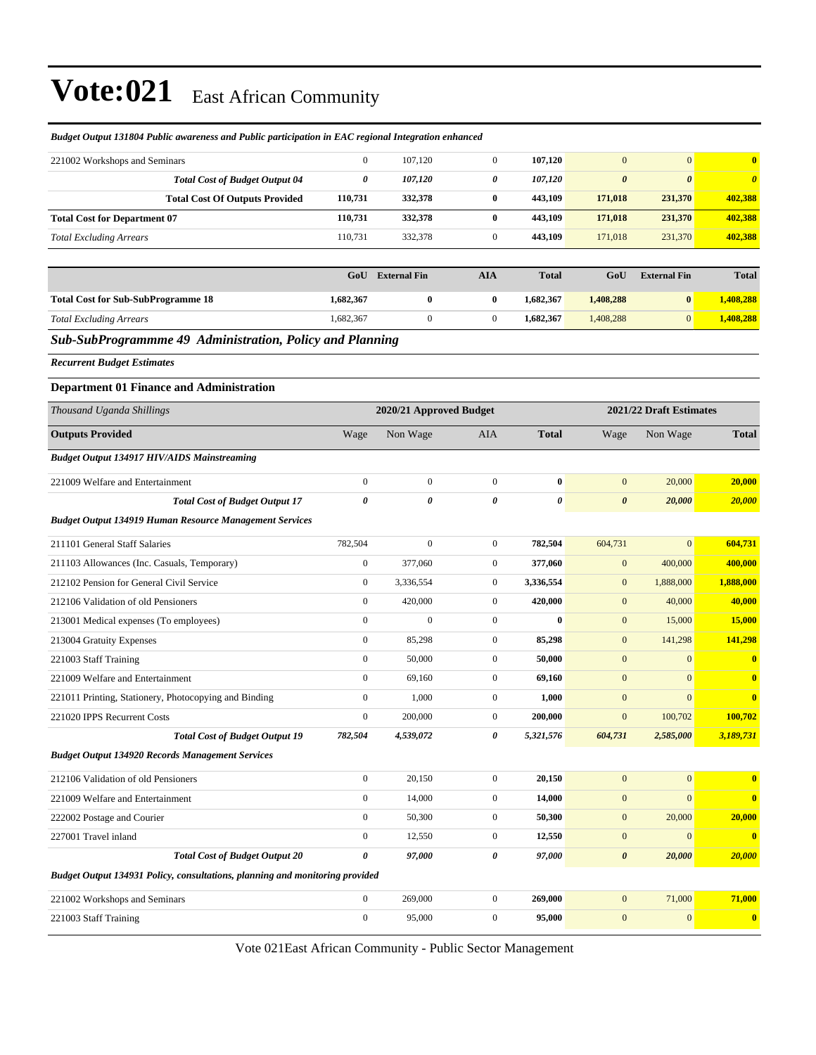| 221002 Workshops and Seminars                                                       | $\boldsymbol{0}$      | 107,120                 | $\mathbf{0}$     | 107,120      | $\mathbf{0}$          | $\mathbf{0}$            | $\bf{0}$              |
|-------------------------------------------------------------------------------------|-----------------------|-------------------------|------------------|--------------|-----------------------|-------------------------|-----------------------|
| <b>Total Cost of Budget Output 04</b>                                               | 0                     | 107,120                 | 0                | 107,120      | $\boldsymbol{\theta}$ | $\boldsymbol{\theta}$   | $\boldsymbol{\theta}$ |
| <b>Total Cost Of Outputs Provided</b>                                               | 110,731               | 332,378                 | $\bf{0}$         | 443,109      | 171,018               | 231,370                 | 402,388               |
| <b>Total Cost for Department 07</b>                                                 | 110,731               | 332,378                 | $\bf{0}$         | 443,109      | 171,018               | 231,370                 | 402,388               |
| <b>Total Excluding Arrears</b>                                                      | 110,731               | 332,378                 | $\mathbf{0}$     | 443,109      | 171,018               | 231,370                 | 402,388               |
|                                                                                     |                       |                         |                  |              |                       |                         |                       |
|                                                                                     | GoU                   | <b>External Fin</b>     | <b>AIA</b>       | <b>Total</b> | GoU                   | <b>External Fin</b>     | <b>Total</b>          |
| <b>Total Cost for Sub-SubProgramme 18</b>                                           | 1,682,367             | $\bf{0}$                | 0                | 1,682,367    | 1,408,288             | $\bf{0}$                | 1,408,288             |
| <b>Total Excluding Arrears</b>                                                      | 1,682,367             | $\boldsymbol{0}$        | $\boldsymbol{0}$ | 1,682,367    | 1,408,288             | $\boldsymbol{0}$        | 1,408,288             |
| Sub-SubProgrammme 49 Administration, Policy and Planning                            |                       |                         |                  |              |                       |                         |                       |
| <b>Recurrent Budget Estimates</b>                                                   |                       |                         |                  |              |                       |                         |                       |
| <b>Department 01 Finance and Administration</b>                                     |                       |                         |                  |              |                       |                         |                       |
| Thousand Uganda Shillings                                                           |                       | 2020/21 Approved Budget |                  |              |                       | 2021/22 Draft Estimates |                       |
| <b>Outputs Provided</b>                                                             | Wage                  | Non Wage                | AIA              | <b>Total</b> | Wage                  | Non Wage                | <b>Total</b>          |
| <b>Budget Output 134917 HIV/AIDS Mainstreaming</b>                                  |                       |                         |                  |              |                       |                         |                       |
| 221009 Welfare and Entertainment                                                    | $\mathbf{0}$          | $\mathbf{0}$            | $\overline{0}$   | $\bf{0}$     | $\mathbf{0}$          | 20,000                  | 20,000                |
| <b>Total Cost of Budget Output 17</b>                                               | $\boldsymbol{\theta}$ | 0                       | 0                | 0            | $\boldsymbol{\theta}$ | 20,000                  | <b>20,000</b>         |
| <b>Budget Output 134919 Human Resource Management Services</b>                      |                       |                         |                  |              |                       |                         |                       |
| 211101 General Staff Salaries                                                       | 782,504               | $\boldsymbol{0}$        | $\mathbf{0}$     | 782,504      | 604,731               | $\overline{0}$          | 604,731               |
| 211103 Allowances (Inc. Casuals, Temporary)                                         | $\boldsymbol{0}$      | 377,060                 | $\mathbf{0}$     | 377,060      | $\mathbf{0}$          | 400,000                 | 400,000               |
| 212102 Pension for General Civil Service                                            | $\boldsymbol{0}$      | 3,336,554               | 0                | 3,336,554    | $\mathbf{0}$          | 1,888,000               | 1,888,000             |
| 212106 Validation of old Pensioners                                                 | $\boldsymbol{0}$      | 420,000                 | $\mathbf{0}$     | 420,000      | $\mathbf{0}$          | 40,000                  | 40,000                |
| 213001 Medical expenses (To employees)                                              | $\mathbf{0}$          | $\boldsymbol{0}$        | $\mathbf{0}$     | $\bf{0}$     | $\bf{0}$              | 15,000                  | <b>15,000</b>         |
| 213004 Gratuity Expenses                                                            | $\boldsymbol{0}$      | 85,298                  | $\mathbf{0}$     | 85,298       | $\mathbf{0}$          | 141,298                 | 141,298               |
| 221003 Staff Training                                                               | $\boldsymbol{0}$      | 50,000                  | $\mathbf{0}$     | 50,000       | $\mathbf{0}$          | $\mathbf{0}$            | $\bf{0}$              |
| 221009 Welfare and Entertainment                                                    | $\boldsymbol{0}$      | 69,160                  | $\mathbf{0}$     | 69,160       | $\mathbf{0}$          | $\overline{0}$          | $\bf{0}$              |
| 221011 Printing, Stationery, Photocopying and Binding                               | $\boldsymbol{0}$      | 1,000                   | $\mathbf{0}$     | 1,000        | $\mathbf{0}$          | $\mathbf{0}$            | $\mathbf{0}$          |
| 221020 IPPS Recurrent Costs                                                         | $\boldsymbol{0}$      | 200,000                 | $\mathbf{0}$     | 200,000      | $\boldsymbol{0}$      | 100,702                 | 100,702               |
| <b>Total Cost of Budget Output 19</b>                                               | 782,504               | 4,539,072               | 0                | 5,321,576    | 604,731               | 2,585,000               | 3,189,731             |
| <b>Budget Output 134920 Records Management Services</b>                             |                       |                         |                  |              |                       |                         |                       |
| 212106 Validation of old Pensioners                                                 | $\boldsymbol{0}$      | 20,150                  | $\boldsymbol{0}$ | 20,150       | $\mathbf{0}$          | $\boldsymbol{0}$        | $\bf{0}$              |
| 221009 Welfare and Entertainment                                                    | $\mathbf{0}$          | 14,000                  | $\boldsymbol{0}$ | 14,000       | $\mathbf{0}$          | $\mathbf{0}$            | $\bf{0}$              |
| 222002 Postage and Courier                                                          | $\boldsymbol{0}$      | 50,300                  | $\boldsymbol{0}$ | 50,300       | $\mathbf{0}$          | 20,000                  | 20,000                |
| 227001 Travel inland                                                                | $\boldsymbol{0}$      | 12,550                  | $\boldsymbol{0}$ | 12,550       | $\boldsymbol{0}$      | $\mathbf{0}$            | $\bf{0}$              |
| <b>Total Cost of Budget Output 20</b>                                               | $\boldsymbol{\theta}$ | 97,000                  | 0                | 97,000       | $\pmb{\theta}$        | 20,000                  | 20,000                |
| <b>Budget Output 134931 Policy, consultations, planning and monitoring provided</b> |                       |                         |                  |              |                       |                         |                       |
| 221002 Workshops and Seminars                                                       | $\mathbf{0}$          | 269,000                 | $\boldsymbol{0}$ | 269,000      | $\mathbf{0}$          | 71,000                  | 71,000                |
| 221003 Staff Training                                                               | $\boldsymbol{0}$      | 95,000                  | $\boldsymbol{0}$ | 95,000       | $\boldsymbol{0}$      | $\bf{0}$                | $\mathbf{0}$          |
|                                                                                     |                       |                         |                  |              |                       |                         |                       |

*Budget Output 131804 Public awareness and Public participation in EAC regional Integration enhanced*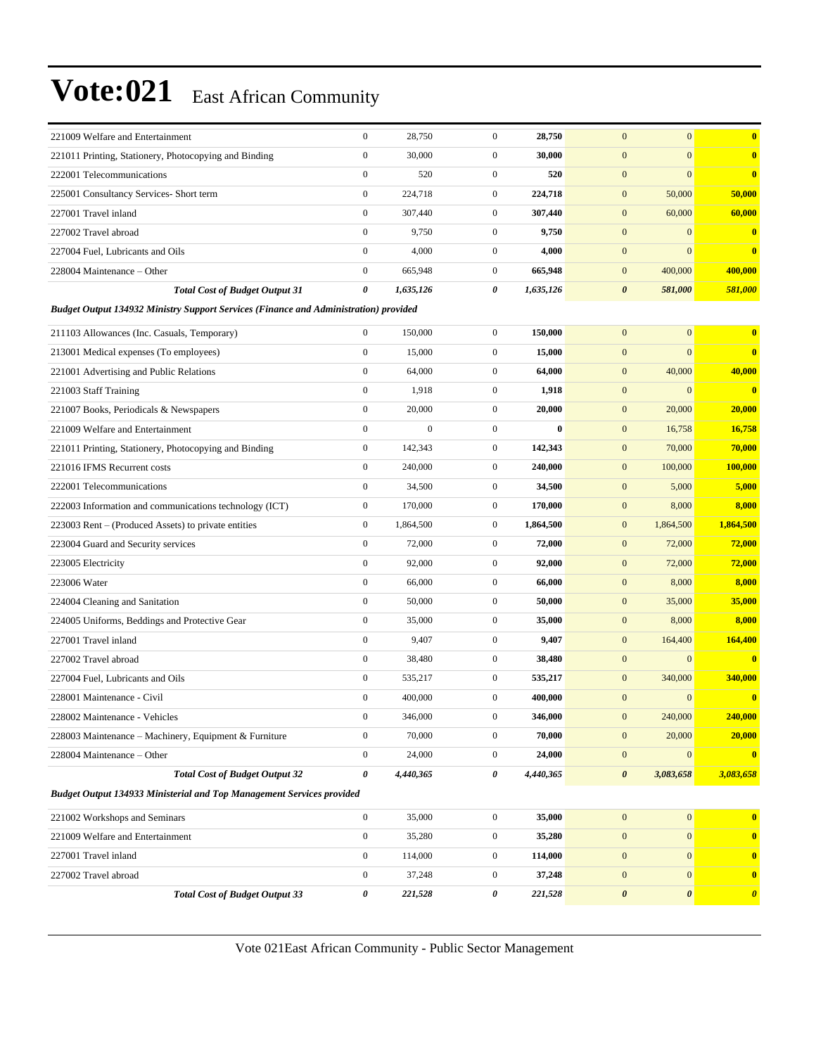| 221009 Welfare and Entertainment                                                     | $\boldsymbol{0}$ | 28,750       | $\boldsymbol{0}$ | 28,750    | $\mathbf{0}$<br>$\mathbf{0}$         | $\bf{0}$              |
|--------------------------------------------------------------------------------------|------------------|--------------|------------------|-----------|--------------------------------------|-----------------------|
| 221011 Printing, Stationery, Photocopying and Binding                                | $\boldsymbol{0}$ | 30,000       | $\boldsymbol{0}$ | 30,000    | $\boldsymbol{0}$<br>$\boldsymbol{0}$ | $\mathbf{0}$          |
| 222001 Telecommunications                                                            | $\boldsymbol{0}$ | 520          | $\boldsymbol{0}$ | 520       | $\mathbf{0}$<br>$\overline{0}$       | $\bf{0}$              |
| 225001 Consultancy Services- Short term                                              | $\boldsymbol{0}$ | 224,718      | $\boldsymbol{0}$ | 224,718   | $\mathbf{0}$<br>50,000               | 50,000                |
| 227001 Travel inland                                                                 | $\mathbf{0}$     | 307,440      | $\boldsymbol{0}$ | 307,440   | $\mathbf{0}$<br>60,000               | 60,000                |
| 227002 Travel abroad                                                                 | $\boldsymbol{0}$ | 9,750        | $\boldsymbol{0}$ | 9,750     | $\mathbf{0}$<br>$\mathbf{0}$         | $\bf{0}$              |
| 227004 Fuel, Lubricants and Oils                                                     | $\boldsymbol{0}$ | 4,000        | $\boldsymbol{0}$ | 4,000     | $\boldsymbol{0}$<br>$\overline{0}$   | $\bf{0}$              |
| 228004 Maintenance – Other                                                           | $\boldsymbol{0}$ | 665,948      | $\boldsymbol{0}$ | 665,948   | $\mathbf{0}$<br>400,000              | 400,000               |
| <b>Total Cost of Budget Output 31</b>                                                | 0                | 1,635,126    | 0                | 1,635,126 | $\boldsymbol{\theta}$<br>581,000     | 581,000               |
| Budget Output 134932 Ministry Support Services (Finance and Administration) provided |                  |              |                  |           |                                      |                       |
| 211103 Allowances (Inc. Casuals, Temporary)                                          | $\boldsymbol{0}$ | 150,000      | $\boldsymbol{0}$ | 150,000   | $\boldsymbol{0}$<br>$\mathbf{0}$     | $\mathbf{0}$          |
| 213001 Medical expenses (To employees)                                               | $\boldsymbol{0}$ | 15,000       | $\boldsymbol{0}$ | 15,000    | $\mathbf{0}$<br>$\mathbf{0}$         | $\bf{0}$              |
| 221001 Advertising and Public Relations                                              | $\boldsymbol{0}$ | 64,000       | $\boldsymbol{0}$ | 64,000    | $\boldsymbol{0}$<br>40,000           | 40,000                |
| 221003 Staff Training                                                                | $\boldsymbol{0}$ | 1,918        | $\boldsymbol{0}$ | 1,918     | $\mathbf{0}$<br>$\mathbf{0}$         | $\bf{0}$              |
| 221007 Books, Periodicals & Newspapers                                               | $\boldsymbol{0}$ | 20,000       | $\boldsymbol{0}$ | 20,000    | $\mathbf{0}$<br>20,000               | 20,000                |
| 221009 Welfare and Entertainment                                                     | $\boldsymbol{0}$ | $\mathbf{0}$ | $\boldsymbol{0}$ | $\bf{0}$  | $\boldsymbol{0}$<br>16,758           | 16,758                |
| 221011 Printing, Stationery, Photocopying and Binding                                | $\boldsymbol{0}$ | 142,343      | $\boldsymbol{0}$ | 142,343   | 70,000<br>$\mathbf{0}$               | 70,000                |
| 221016 IFMS Recurrent costs                                                          | $\boldsymbol{0}$ | 240,000      | $\boldsymbol{0}$ | 240,000   | $\mathbf{0}$<br>100,000              | 100,000               |
| 222001 Telecommunications                                                            | $\boldsymbol{0}$ | 34,500       | $\boldsymbol{0}$ | 34,500    | $\mathbf{0}$<br>5,000                | 5,000                 |
| 222003 Information and communications technology (ICT)                               | $\boldsymbol{0}$ | 170,000      | $\boldsymbol{0}$ | 170,000   | $\mathbf{0}$<br>8,000                | 8,000                 |
| 223003 Rent – (Produced Assets) to private entities                                  | $\boldsymbol{0}$ | 1,864,500    | $\boldsymbol{0}$ | 1,864,500 | $\mathbf{0}$<br>1,864,500            | 1,864,500             |
| 223004 Guard and Security services                                                   | $\boldsymbol{0}$ | 72,000       | $\boldsymbol{0}$ | 72,000    | $\mathbf{0}$<br>72,000               | 72,000                |
| 223005 Electricity                                                                   | $\mathbf{0}$     | 92,000       | $\boldsymbol{0}$ | 92,000    | $\mathbf{0}$<br>72,000               | 72,000                |
| 223006 Water                                                                         | $\boldsymbol{0}$ | 66,000       | $\boldsymbol{0}$ | 66,000    | $\mathbf{0}$<br>8,000                | 8,000                 |
| 224004 Cleaning and Sanitation                                                       | $\boldsymbol{0}$ | 50,000       | $\boldsymbol{0}$ | 50,000    | $\mathbf{0}$<br>35,000               | 35,000                |
| 224005 Uniforms, Beddings and Protective Gear                                        | $\boldsymbol{0}$ | 35,000       | $\boldsymbol{0}$ | 35,000    | $\mathbf{0}$<br>8,000                | 8,000                 |
| 227001 Travel inland                                                                 | $\boldsymbol{0}$ | 9,407        | $\boldsymbol{0}$ | 9,407     | $\mathbf{0}$<br>164,400              | 164,400               |
| 227002 Travel abroad                                                                 | $\boldsymbol{0}$ | 38,480       | $\boldsymbol{0}$ | 38,480    | $\mathbf{0}$<br>$\overline{0}$       | $\mathbf{0}$          |
| 227004 Fuel, Lubricants and Oils                                                     | $\boldsymbol{0}$ | 535,217      | $\boldsymbol{0}$ | 535,217   | 340,000<br>$\mathbf{0}$              | 340,000               |
| 228001 Maintenance - Civil                                                           | $\boldsymbol{0}$ | 400,000      | $\boldsymbol{0}$ | 400,000   | $\mathbf{0}$<br>$\overline{0}$       | $\bf{0}$              |
| 228002 Maintenance - Vehicles                                                        | $\mathbf{0}$     | 346,000      | $\mathbf{0}$     | 346,000   | $\mathbf{0}$<br>240,000              | 240,000               |
| 228003 Maintenance – Machinery, Equipment & Furniture                                | $\boldsymbol{0}$ | 70,000       | $\boldsymbol{0}$ | 70,000    | $\boldsymbol{0}$<br>20,000           | 20,000                |
| 228004 Maintenance - Other                                                           | $\boldsymbol{0}$ | 24,000       | $\boldsymbol{0}$ | 24,000    | $\boldsymbol{0}$<br>$\boldsymbol{0}$ | $\bf{0}$              |
| <b>Total Cost of Budget Output 32</b>                                                | 0                | 4,440,365    | 0                | 4,440,365 | $\boldsymbol{\theta}$<br>3,083,658   | 3,083,658             |
| <b>Budget Output 134933 Ministerial and Top Management Services provided</b>         |                  |              |                  |           |                                      |                       |
| 221002 Workshops and Seminars                                                        | $\boldsymbol{0}$ | 35,000       | $\boldsymbol{0}$ | 35,000    | $\mathbf{0}$<br>$\boldsymbol{0}$     | $\bf{0}$              |
| 221009 Welfare and Entertainment                                                     | $\boldsymbol{0}$ | 35,280       | $\boldsymbol{0}$ | 35,280    | $\boldsymbol{0}$<br>$\boldsymbol{0}$ | $\mathbf{0}$          |
| 227001 Travel inland                                                                 | $\boldsymbol{0}$ | 114,000      | $\boldsymbol{0}$ | 114,000   | $\boldsymbol{0}$<br>$\mathbf{0}$     | $\bf{0}$              |
| 227002 Travel abroad                                                                 | $\boldsymbol{0}$ | 37,248       | $\boldsymbol{0}$ | 37,248    | $\boldsymbol{0}$<br>$\boldsymbol{0}$ | $\bf{0}$              |
| <b>Total Cost of Budget Output 33</b>                                                | 0                | 221,528      | 0                | 221,528   | $\pmb{\theta}$<br>$\pmb{\theta}$     | $\boldsymbol{\theta}$ |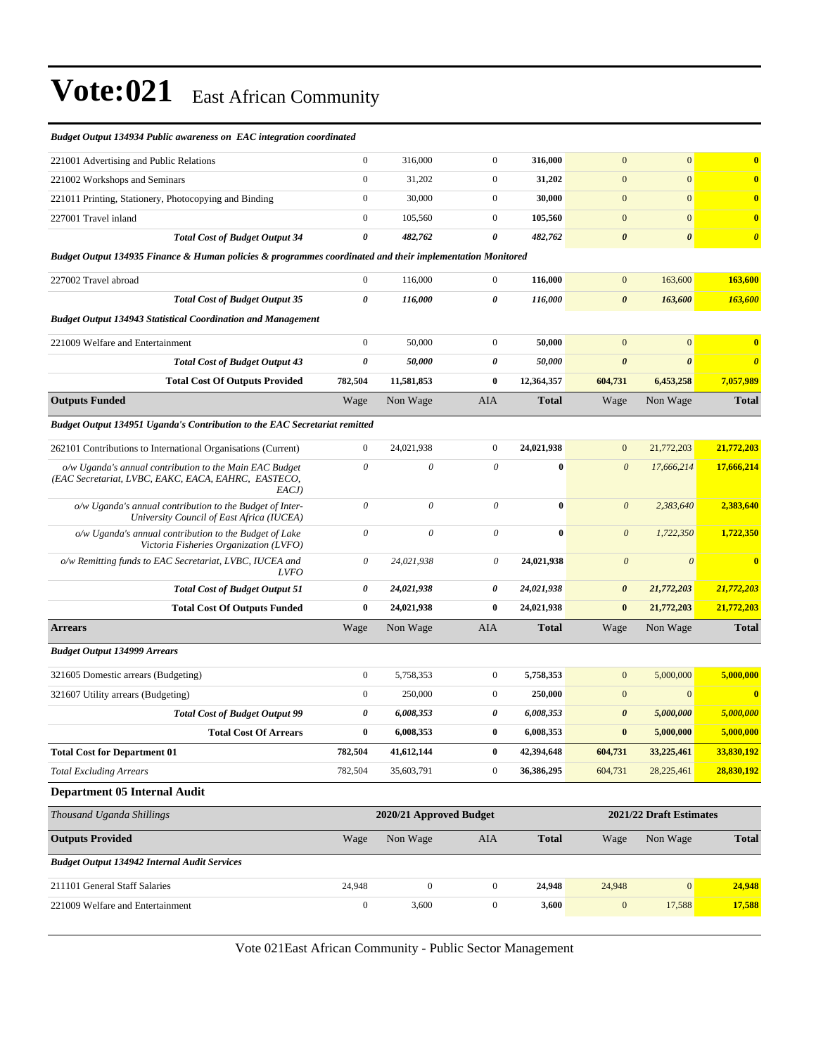| <b>Budget Output 134934 Public awareness on EAC integration coordinated</b>                                             |                           |                         |                       |              |                           |                         |                         |
|-------------------------------------------------------------------------------------------------------------------------|---------------------------|-------------------------|-----------------------|--------------|---------------------------|-------------------------|-------------------------|
| 221001 Advertising and Public Relations                                                                                 | $\boldsymbol{0}$          | 316,000                 | $\mathbf{0}$          | 316,000      | $\mathbf{0}$              | $\mathbf{0}$            | $\bf{0}$                |
| 221002 Workshops and Seminars                                                                                           | $\boldsymbol{0}$          | 31,202                  | $\mathbf{0}$          | 31,202       | $\boldsymbol{0}$          | $\mathbf{0}$            | $\bf{0}$                |
| 221011 Printing, Stationery, Photocopying and Binding                                                                   | $\boldsymbol{0}$          | 30,000                  | $\boldsymbol{0}$      | 30,000       | $\boldsymbol{0}$          | $\boldsymbol{0}$        | $\bf{0}$                |
| 227001 Travel inland                                                                                                    | $\boldsymbol{0}$          | 105,560                 | $\mathbf{0}$          | 105,560      | $\mathbf{0}$              | $\mathbf{0}$            | $\bf{0}$                |
| <b>Total Cost of Budget Output 34</b>                                                                                   | 0                         | 482,762                 | 0                     | 482,762      | $\boldsymbol{\theta}$     | $\boldsymbol{\theta}$   | $\boldsymbol{\theta}$   |
| Budget Output 134935 Finance & Human policies & programmes coordinated and their implementation Monitored               |                           |                         |                       |              |                           |                         |                         |
| 227002 Travel abroad                                                                                                    | $\boldsymbol{0}$          | 116,000                 | $\mathbf{0}$          | 116,000      | $\boldsymbol{0}$          | 163,600                 | 163,600                 |
| <b>Total Cost of Budget Output 35</b>                                                                                   | $\pmb{\theta}$            | 116,000                 | $\boldsymbol{\theta}$ | 116,000      | $\boldsymbol{\theta}$     | 163,600                 | 163,600                 |
| <b>Budget Output 134943 Statistical Coordination and Management</b>                                                     |                           |                         |                       |              |                           |                         |                         |
| 221009 Welfare and Entertainment                                                                                        | $\boldsymbol{0}$          | 50,000                  | $\mathbf{0}$          | 50,000       | $\mathbf{0}$              | $\boldsymbol{0}$        | $\bf{0}$                |
| <b>Total Cost of Budget Output 43</b>                                                                                   | 0                         | 50,000                  | 0                     | 50,000       | $\boldsymbol{\theta}$     | $\boldsymbol{\theta}$   | $\boldsymbol{\theta}$   |
| <b>Total Cost Of Outputs Provided</b>                                                                                   | 782,504                   | 11,581,853              | $\bf{0}$              | 12,364,357   | 604,731                   | 6,453,258               | 7,057,989               |
| <b>Outputs Funded</b>                                                                                                   | Wage                      | Non Wage                | AIA                   | <b>Total</b> | Wage                      | Non Wage                | <b>Total</b>            |
| <b>Budget Output 134951 Uganda's Contribution to the EAC Secretariat remitted</b>                                       |                           |                         |                       |              |                           |                         |                         |
| 262101 Contributions to International Organisations (Current)                                                           | $\boldsymbol{0}$          | 24,021,938              | $\mathbf{0}$          | 24,021,938   | $\mathbf{0}$              | 21,772,203              | 21,772,203              |
| o/w Uganda's annual contribution to the Main EAC Budget<br>(EAC Secretariat, LVBC, EAKC, EACA, EAHRC, EASTECO,<br>EACJ) | $\boldsymbol{\mathit{0}}$ | 0                       | $\theta$              | $\bf{0}$     | $\boldsymbol{\theta}$     | 17,666,214              | 17,666,214              |
| o/w Uganda's annual contribution to the Budget of Inter-<br>University Council of East Africa (IUCEA)                   | $\boldsymbol{\mathit{0}}$ | 0                       | $\theta$              | $\bf{0}$     | $\boldsymbol{\mathit{0}}$ | 2,383,640               | 2,383,640               |
| o/w Uganda's annual contribution to the Budget of Lake<br>Victoria Fisheries Organization (LVFO)                        | $\boldsymbol{\mathit{0}}$ | 0                       | 0                     | $\bf{0}$     | $\boldsymbol{\theta}$     | 1,722,350               | 1,722,350               |
| o/w Remitting funds to EAC Secretariat, LVBC, IUCEA and<br><i>LVFO</i>                                                  | 0                         | 24,021,938              | 0                     | 24,021,938   | $\boldsymbol{\theta}$     | $\theta$                | $\bf{0}$                |
| <b>Total Cost of Budget Output 51</b>                                                                                   | 0                         | 24,021,938              | 0                     | 24,021,938   | $\boldsymbol{\theta}$     | 21,772,203              | 21,772,203              |
| <b>Total Cost Of Outputs Funded</b>                                                                                     | $\bf{0}$                  | 24,021,938              | $\bf{0}$              | 24,021,938   | $\bf{0}$                  | 21,772,203              | 21,772,203              |
| <b>Arrears</b>                                                                                                          | Wage                      | Non Wage                | AIA                   | <b>Total</b> | Wage                      | Non Wage                | <b>Total</b>            |
| <b>Budget Output 134999 Arrears</b>                                                                                     |                           |                         |                       |              |                           |                         |                         |
| 321605 Domestic arrears (Budgeting)                                                                                     | $\boldsymbol{0}$          | 5,758,353               | $\mathbf{0}$          | 5,758,353    | $\mathbf{0}$              | 5,000,000               | 5,000,000               |
| 321607 Utility arrears (Budgeting)                                                                                      | $\boldsymbol{0}$          | 250,000                 | $\mathbf{0}$          | 250,000      | $\mathbf{0}$              | $\boldsymbol{0}$        | $\overline{\mathbf{0}}$ |
| <b>Total Cost of Budget Output 99</b>                                                                                   | 0                         | 6,008,353               | 0                     | 6,008,353    | $\boldsymbol{\theta}$     | 5,000,000               | 5,000,000               |
| <b>Total Cost Of Arrears</b>                                                                                            | $\bf{0}$                  | 6,008,353               | $\bf{0}$              | 6,008,353    | $\bf{0}$                  | 5,000,000               | 5,000,000               |
| <b>Total Cost for Department 01</b>                                                                                     | 782,504                   | 41,612,144              | $\bf{0}$              | 42,394,648   | 604,731                   | 33,225,461              | 33,830,192              |
| <b>Total Excluding Arrears</b>                                                                                          | 782,504                   | 35,603,791              | $\boldsymbol{0}$      | 36,386,295   | 604,731                   | 28,225,461              | 28,830,192              |
| Department 05 Internal Audit                                                                                            |                           |                         |                       |              |                           |                         |                         |
| Thousand Uganda Shillings                                                                                               |                           | 2020/21 Approved Budget |                       |              |                           | 2021/22 Draft Estimates |                         |
| <b>Outputs Provided</b>                                                                                                 | Wage                      | Non Wage                | AIA                   | <b>Total</b> | Wage                      | Non Wage                | <b>Total</b>            |
| <b>Budget Output 134942 Internal Audit Services</b>                                                                     |                           |                         |                       |              |                           |                         |                         |
| 211101 General Staff Salaries                                                                                           | 24,948                    | $\mathbf{0}$            | $\mathbf{0}$          | 24,948       | 24,948                    | 0                       | 24,948                  |
| 221009 Welfare and Entertainment                                                                                        | $\boldsymbol{0}$          | 3,600                   | $\boldsymbol{0}$      | 3,600        | $\mathbf{0}$              | 17,588                  | 17,588                  |